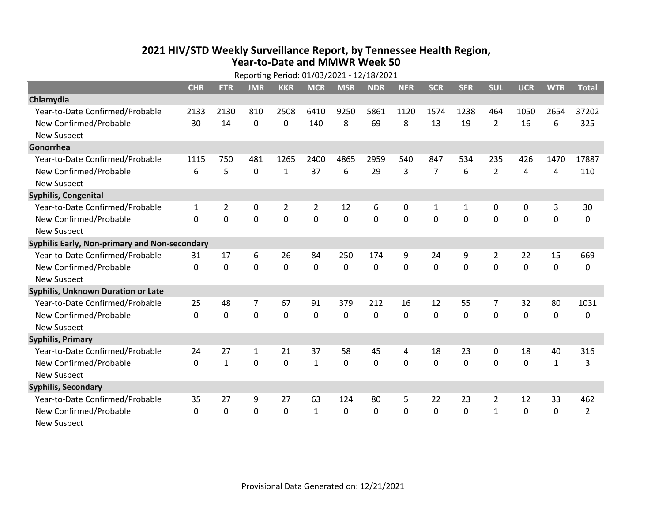## **2021 HIV /STD Weekly Surveillance Report, by Tennessee Health Region, Year‐to‐Date and MMWR Week 50** Reporting Period: 01/03/2021 ‐ 12/18/2021

| Reporting Period: 01/03/2021 - 12/18/2021     |            |              |              |                |                |              |            |            |                |            |                |            |              |                |
|-----------------------------------------------|------------|--------------|--------------|----------------|----------------|--------------|------------|------------|----------------|------------|----------------|------------|--------------|----------------|
|                                               | <b>CHR</b> | <b>ETR</b>   | <b>JMR</b>   | <b>KKR</b>     | <b>MCR</b>     | <b>MSR</b>   | <b>NDR</b> | <b>NER</b> | <b>SCR</b>     | <b>SER</b> | <b>SUL</b>     | <b>UCR</b> | <b>WTR</b>   | <b>Total</b>   |
| Chlamydia                                     |            |              |              |                |                |              |            |            |                |            |                |            |              |                |
| Year-to-Date Confirmed/Probable               | 2133       | 2130         | 810          | 2508           | 6410           | 9250         | 5861       | 1120       | 1574           | 1238       | 464            | 1050       | 2654         | 37202          |
| New Confirmed/Probable                        | 30         | 14           | 0            | 0              | 140            | 8            | 69         | 8          | 13             | 19         | $\overline{2}$ | 16         | 6            | 325            |
| <b>New Suspect</b>                            |            |              |              |                |                |              |            |            |                |            |                |            |              |                |
| Gonorrhea                                     |            |              |              |                |                |              |            |            |                |            |                |            |              |                |
| Year-to-Date Confirmed/Probable               | 1115       | 750          | 481          | 1265           | 2400           | 4865         | 2959       | 540        | 847            | 534        | 235            | 426        | 1470         | 17887          |
| New Confirmed/Probable                        | 6          | 5            | $\mathbf 0$  | 1              | 37             | 6            | 29         | 3          | $\overline{7}$ | 6          | $\overline{2}$ | 4          | 4            | 110            |
| <b>New Suspect</b>                            |            |              |              |                |                |              |            |            |                |            |                |            |              |                |
| Syphilis, Congenital                          |            |              |              |                |                |              |            |            |                |            |                |            |              |                |
| Year-to-Date Confirmed/Probable               | 1          | 2            | 0            | $\overline{2}$ | $\overline{2}$ | 12           | 6          | 0          | 1              | 1          | 0              | 0          | 3            | 30             |
| New Confirmed/Probable                        | $\Omega$   | 0            | $\mathbf 0$  | 0              | 0              | 0            | 0          | 0          | 0              | 0          | $\mathbf 0$    | 0          | $\mathbf 0$  | 0              |
| <b>New Suspect</b>                            |            |              |              |                |                |              |            |            |                |            |                |            |              |                |
| Syphilis Early, Non-primary and Non-secondary |            |              |              |                |                |              |            |            |                |            |                |            |              |                |
| Year-to-Date Confirmed/Probable               | 31         | 17           | 6            | 26             | 84             | 250          | 174        | 9          | 24             | 9          | 2              | 22         | 15           | 669            |
| New Confirmed/Probable                        | $\Omega$   | 0            | $\Omega$     | 0              | $\Omega$       | $\Omega$     | 0          | $\Omega$   | $\Omega$       | $\Omega$   | $\Omega$       | 0          | $\mathbf 0$  | 0              |
| <b>New Suspect</b>                            |            |              |              |                |                |              |            |            |                |            |                |            |              |                |
| <b>Syphilis, Unknown Duration or Late</b>     |            |              |              |                |                |              |            |            |                |            |                |            |              |                |
| Year-to-Date Confirmed/Probable               | 25         | 48           | 7            | 67             | 91             | 379          | 212        | 16         | 12             | 55         | 7              | 32         | 80           | 1031           |
| New Confirmed/Probable                        | $\Omega$   | 0            | $\mathbf 0$  | 0              | $\mathbf{0}$   | $\Omega$     | $\Omega$   | $\Omega$   | $\Omega$       | $\Omega$   | $\Omega$       | 0          | $\mathbf 0$  | 0              |
| <b>New Suspect</b>                            |            |              |              |                |                |              |            |            |                |            |                |            |              |                |
| <b>Syphilis, Primary</b>                      |            |              |              |                |                |              |            |            |                |            |                |            |              |                |
| Year-to-Date Confirmed/Probable               | 24         | 27           | $\mathbf{1}$ | 21             | 37             | 58           | 45         | 4          | 18             | 23         | 0              | 18         | 40           | 316            |
| New Confirmed/Probable                        | $\Omega$   | $\mathbf{1}$ | $\Omega$     | 0              | $\mathbf{1}$   | $\mathbf{0}$ | $\Omega$   | $\Omega$   | $\Omega$       | $\Omega$   | $\mathbf{0}$   | 0          | $\mathbf{1}$ | 3              |
| <b>New Suspect</b>                            |            |              |              |                |                |              |            |            |                |            |                |            |              |                |
| <b>Syphilis, Secondary</b>                    |            |              |              |                |                |              |            |            |                |            |                |            |              |                |
| Year-to-Date Confirmed/Probable               | 35         | 27           | 9            | 27             | 63             | 124          | 80         | 5          | 22             | 23         | $\overline{2}$ | 12         | 33           | 462            |
| New Confirmed/Probable                        | $\Omega$   | $\mathbf{0}$ | 0            | $\mathbf{0}$   | $\mathbf{1}$   | 0            | 0          | $\Omega$   | $\mathbf{0}$   | $\Omega$   | $\mathbf{1}$   | 0          | $\mathbf 0$  | $\overline{2}$ |
| <b>New Suspect</b>                            |            |              |              |                |                |              |            |            |                |            |                |            |              |                |